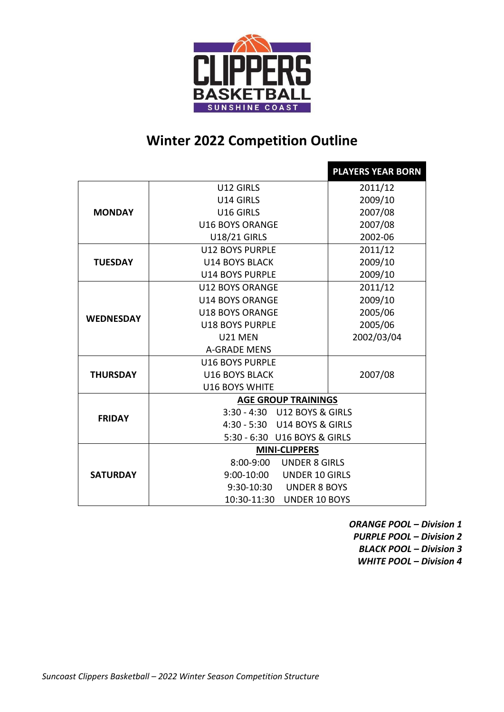

## **Winter 2022 Competition Outline**

|                  |                              | <b>PLAYERS YEAR BORN</b> |  |
|------------------|------------------------------|--------------------------|--|
| <b>MONDAY</b>    | U12 GIRLS                    | 2011/12                  |  |
|                  | U14 GIRLS                    | 2009/10                  |  |
|                  | U16 GIRLS                    | 2007/08                  |  |
|                  | <b>U16 BOYS ORANGE</b>       | 2007/08                  |  |
|                  | <b>U18/21 GIRLS</b>          | 2002-06                  |  |
|                  | <b>U12 BOYS PURPLE</b>       | 2011/12                  |  |
| <b>TUESDAY</b>   | <b>U14 BOYS BLACK</b>        | 2009/10                  |  |
|                  | <b>U14 BOYS PURPLE</b>       | 2009/10                  |  |
|                  | <b>U12 BOYS ORANGE</b>       | 2011/12                  |  |
|                  | <b>U14 BOYS ORANGE</b>       | 2009/10                  |  |
| <b>WEDNESDAY</b> | <b>U18 BOYS ORANGE</b>       | 2005/06                  |  |
|                  | <b>U18 BOYS PURPLE</b>       | 2005/06                  |  |
|                  | U21 MEN                      | 2002/03/04               |  |
|                  | <b>A-GRADE MENS</b>          |                          |  |
|                  | <b>U16 BOYS PURPLE</b>       |                          |  |
| <b>THURSDAY</b>  | <b>U16 BOYS BLACK</b>        | 2007/08                  |  |
|                  | <b>U16 BOYS WHITE</b>        |                          |  |
|                  | <b>AGE GROUP TRAININGS</b>   |                          |  |
| <b>FRIDAY</b>    | 3:30 - 4:30 U12 BOYS & GIRLS |                          |  |
|                  | 4:30 - 5:30 U14 BOYS & GIRLS |                          |  |
|                  | 5:30 - 6:30 U16 BOYS & GIRLS |                          |  |
|                  | <b>MINI-CLIPPERS</b>         |                          |  |
|                  | 8:00-9:00 UNDER 8 GIRLS      |                          |  |
| <b>SATURDAY</b>  | 9:00-10:00 UNDER 10 GIRLS    |                          |  |
|                  | 9:30-10:30 UNDER 8 BOYS      |                          |  |
|                  | 10:30-11:30 UNDER 10 BOYS    |                          |  |

*ORANGE POOL – Division 1 PURPLE POOL – Division 2*

*BLACK POOL – Division 3*

*WHITE POOL – Division 4*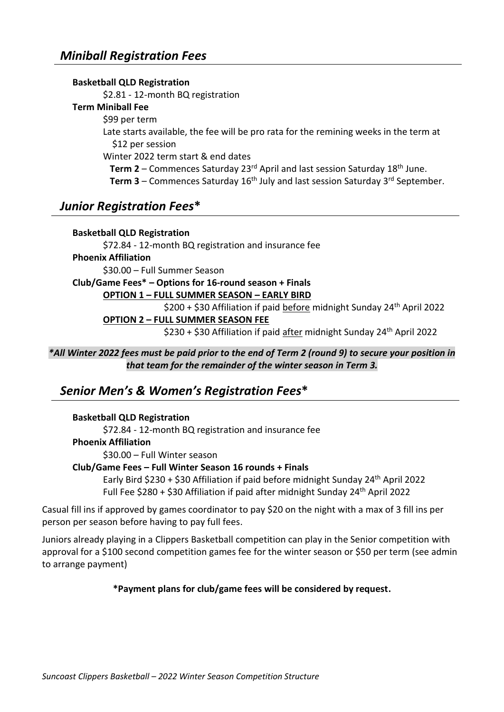#### **Basketball QLD Registration**

\$2.81 - 12-month BQ registration

#### **Term Miniball Fee**

#### \$99 per term

Late starts available, the fee will be pro rata for the remining weeks in the term at \$12 per session

Winter 2022 term start & end dates

**Term 2** – Commences Saturday 23<sup>rd</sup> April and last session Saturday 18<sup>th</sup> June.

Term 3 – Commences Saturday 16<sup>th</sup> July and last session Saturday 3<sup>rd</sup> September.

### *Junior Registration Fees***\***

#### **Basketball QLD Registration**

\$72.84 - 12-month BQ registration and insurance fee **Phoenix Affiliation** \$30.00 – Full Summer Season

**Club/Game Fees\* – Options for 16-round season + Finals**

#### **OPTION 1 – FULL SUMMER SEASON – EARLY BIRD**

\$200 + \$30 Affiliation if paid before midnight Sunday 24<sup>th</sup> April 2022

**OPTION 2 – FULL SUMMER SEASON FEE**

\$230 + \$30 Affiliation if paid after midnight Sunday 24th April 2022

*\*All Winter 2022 fees must be paid prior to the end of Term 2 (round 9) to secure your position in that team for the remainder of the winter season in Term 3.*

### *Senior Men's & Women's Registration Fees***\***

#### **Basketball QLD Registration**

\$72.84 - 12-month BQ registration and insurance fee

**Phoenix Affiliation**

\$30.00 – Full Winter season

#### **Club/Game Fees – Full Winter Season 16 rounds + Finals**

Early Bird \$230 + \$30 Affiliation if paid before midnight Sunday 24th April 2022 Full Fee \$280 + \$30 Affiliation if paid after midnight Sunday 24th April 2022

Casual fill ins if approved by games coordinator to pay \$20 on the night with a max of 3 fill ins per person per season before having to pay full fees.

Juniors already playing in a Clippers Basketball competition can play in the Senior competition with approval for a \$100 second competition games fee for the winter season or \$50 per term (see admin to arrange payment)

#### **\*Payment plans for club/game fees will be considered by request.**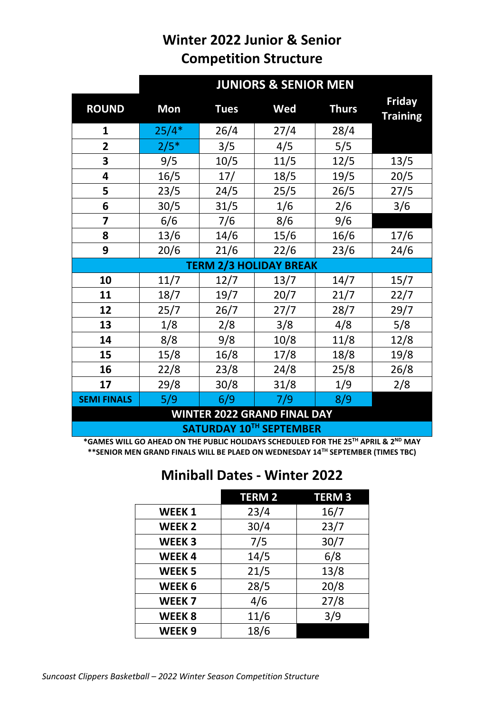# **Winter 2022 Junior & Senior Competition Structure**

|                                    | <b>JUNIORS &amp; SENIOR MEN</b> |             |                               |              |                                  |
|------------------------------------|---------------------------------|-------------|-------------------------------|--------------|----------------------------------|
| <b>ROUND</b>                       | <b>Mon</b>                      | <b>Tues</b> | Wed                           | <b>Thurs</b> | <b>Friday</b><br><b>Training</b> |
| 1                                  | $25/4*$                         | 26/4        | 27/4                          | 28/4         |                                  |
| $\overline{2}$                     | $2/5*$                          | 3/5         | 4/5                           | 5/5          |                                  |
| 3                                  | 9/5                             | 10/5        | 11/5                          | 12/5         | 13/5                             |
| $\overline{\mathbf{4}}$            | 16/5                            | 17/         | 18/5                          | 19/5         | 20/5                             |
| 5                                  | 23/5                            | 24/5        | 25/5                          | 26/5         | 27/5                             |
| 6                                  | 30/5                            | 31/5        | 1/6                           | 2/6          | 3/6                              |
| $\overline{\mathbf{z}}$            | 6/6                             | 7/6         | 8/6                           | 9/6          |                                  |
| 8                                  | 13/6                            | 14/6        | 15/6                          | 16/6         | 17/6                             |
| 9                                  | 20/6                            | 21/6        | 22/6                          | 23/6         | 24/6                             |
|                                    |                                 |             | <b>TERM 2/3 HOLIDAY BREAK</b> |              |                                  |
| 10                                 | 11/7                            | 12/7        | 13/7                          | 14/7         | 15/7                             |
| 11                                 | 18/7                            | 19/7        | 20/7                          | 21/7         | 22/7                             |
| 12                                 | 25/7                            | 26/7        | 27/7                          | 28/7         | 29/7                             |
| 13                                 | 1/8                             | 2/8         | 3/8                           | 4/8          | 5/8                              |
| 14                                 | 8/8                             | 9/8         | 10/8                          | 11/8         | 12/8                             |
| 15                                 | 15/8                            | 16/8        | 17/8                          | 18/8         | 19/8                             |
| 16                                 | 22/8                            | 23/8        | 24/8                          | 25/8         | 26/8                             |
| 17                                 | 29/8                            | 30/8        | 31/8                          | 1/9          | 2/8                              |
| <b>SEMI FINALS</b>                 | 5/9                             | 6/9         | 7/9                           | 8/9          |                                  |
| <b>WINTER 2022 GRAND FINAL DAY</b> |                                 |             |                               |              |                                  |

**SATURDAY 10TH SEPTEMBER**

**\*GAMES WILL GO AHEAD ON THE PUBLIC HOLIDAYS SCHEDULED FOR THE 25TH APRIL & 2ND MAY \*\*SENIOR MEN GRAND FINALS WILL BE PLAED ON WEDNESDAY 14TH SEPTEMBER (TIMES TBC)**

## **Miniball Dates - Winter 2022**

|                   | <b>TERM 2</b> | <b>TERM3</b> |
|-------------------|---------------|--------------|
| <b>WEEK1</b>      | 23/4          | 16/7         |
| <b>WEEK2</b>      | 30/4          | 23/7         |
| <b>WEEK3</b>      | 7/5           | 30/7         |
| <b>WEEK4</b>      | 14/5          | 6/8          |
| <b>WEEK 5</b>     | 21/5          | 13/8         |
| WEEK <sub>6</sub> | 28/5          | 20/8         |
| WEEK <sub>7</sub> | 4/6           | 27/8         |
| <b>WEEK8</b>      | 11/6          | 3/9          |
| WEEK <sub>9</sub> | 18/6          |              |